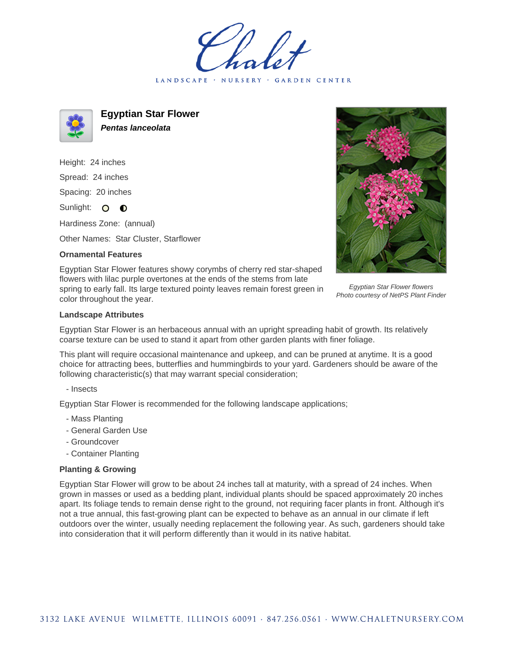LANDSCAPE · NURSERY · GARDEN CENTER



**Egyptian Star Flower Pentas lanceolata**

Height: 24 inches Spread: 24 inches Spacing: 20 inches Sunlight: O **O** 

Hardiness Zone: (annual)

Other Names: Star Cluster, Starflower

## **Ornamental Features**

Egyptian Star Flower features showy corymbs of cherry red star-shaped flowers with lilac purple overtones at the ends of the stems from late spring to early fall. Its large textured pointy leaves remain forest green in color throughout the year.



Egyptian Star Flower flowers Photo courtesy of NetPS Plant Finder

## **Landscape Attributes**

Egyptian Star Flower is an herbaceous annual with an upright spreading habit of growth. Its relatively coarse texture can be used to stand it apart from other garden plants with finer foliage.

This plant will require occasional maintenance and upkeep, and can be pruned at anytime. It is a good choice for attracting bees, butterflies and hummingbirds to your yard. Gardeners should be aware of the following characteristic(s) that may warrant special consideration;

- Insects

Egyptian Star Flower is recommended for the following landscape applications;

- Mass Planting
- General Garden Use
- Groundcover
- Container Planting

## **Planting & Growing**

Egyptian Star Flower will grow to be about 24 inches tall at maturity, with a spread of 24 inches. When grown in masses or used as a bedding plant, individual plants should be spaced approximately 20 inches apart. Its foliage tends to remain dense right to the ground, not requiring facer plants in front. Although it's not a true annual, this fast-growing plant can be expected to behave as an annual in our climate if left outdoors over the winter, usually needing replacement the following year. As such, gardeners should take into consideration that it will perform differently than it would in its native habitat.